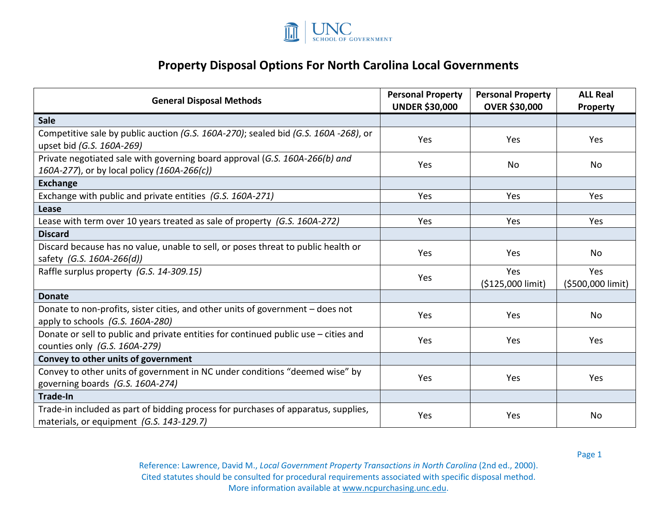

## **Property Disposal Options For North Carolina Local Governments**

| <b>General Disposal Methods</b>                                                                                                | <b>Personal Property</b><br><b>UNDER \$30,000</b> | <b>Personal Property</b><br><b>OVER \$30,000</b> | <b>ALL Real</b><br>Property |
|--------------------------------------------------------------------------------------------------------------------------------|---------------------------------------------------|--------------------------------------------------|-----------------------------|
| <b>Sale</b>                                                                                                                    |                                                   |                                                  |                             |
| Competitive sale by public auction (G.S. 160A-270); sealed bid (G.S. 160A-268), or<br>upset bid (G.S. 160A-269)                | Yes                                               | Yes                                              | Yes                         |
| Private negotiated sale with governing board approval (G.S. 160A-266(b) and<br>160A-277), or by local policy (160A-266(c))     | Yes                                               | No                                               | No                          |
| <b>Exchange</b>                                                                                                                |                                                   |                                                  |                             |
| Exchange with public and private entities (G.S. 160A-271)                                                                      | Yes                                               | Yes                                              | Yes                         |
| Lease                                                                                                                          |                                                   |                                                  |                             |
| Lease with term over 10 years treated as sale of property (G.S. 160A-272)                                                      | Yes                                               | Yes                                              | Yes                         |
| <b>Discard</b>                                                                                                                 |                                                   |                                                  |                             |
| Discard because has no value, unable to sell, or poses threat to public health or<br>safety (G.S. 160A-266(d))                 | Yes                                               | Yes                                              | <b>No</b>                   |
| Raffle surplus property (G.S. 14-309.15)                                                                                       | Yes                                               | Yes<br>(\$125,000 limit)                         | Yes<br>(\$500,000 limit)    |
| <b>Donate</b>                                                                                                                  |                                                   |                                                  |                             |
| Donate to non-profits, sister cities, and other units of government - does not<br>apply to schools (G.S. 160A-280)             | Yes                                               | Yes                                              | No                          |
| Donate or sell to public and private entities for continued public use - cities and<br>counties only (G.S. 160A-279)           | Yes                                               | Yes                                              | Yes                         |
| Convey to other units of government                                                                                            |                                                   |                                                  |                             |
| Convey to other units of government in NC under conditions "deemed wise" by<br>governing boards (G.S. 160A-274)                | Yes                                               | Yes                                              | Yes                         |
| <b>Trade-In</b>                                                                                                                |                                                   |                                                  |                             |
| Trade-in included as part of bidding process for purchases of apparatus, supplies,<br>materials, or equipment (G.S. 143-129.7) | Yes                                               | Yes                                              | <b>No</b>                   |

Page 1